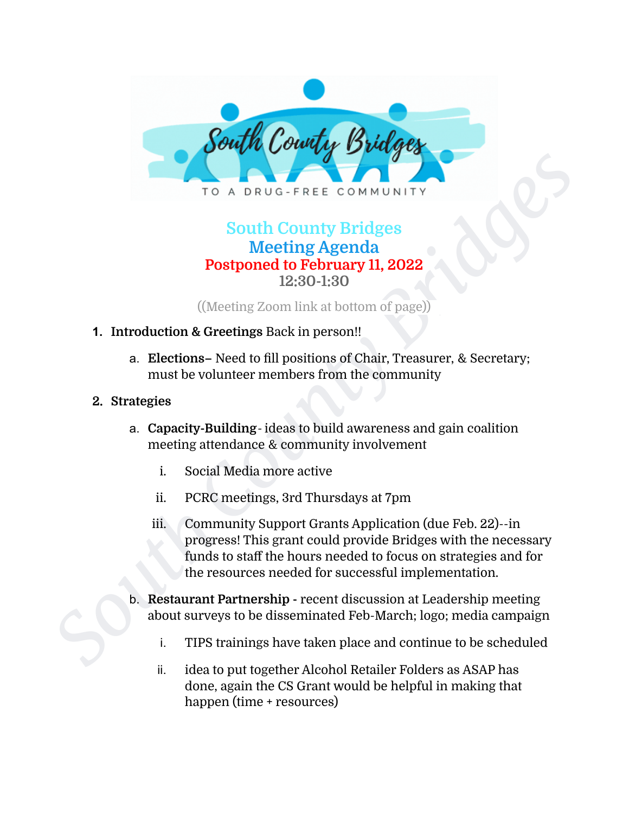

## **South County Bridges Meeting Agenda Postponed to February 11, 2022 12:30-1:30**

((Meeting Zoom link at bottom of page))

#### **1. Introduction & Greetings** Back in person!!

a. **Elections–** Need to fill positions of Chair, Treasurer, & Secretary; must be volunteer members from the community

#### **2. Strategies**

- a. **Capacity-Building** ideas to build awareness and gain coalition meeting attendance & community involvement
	- i. Social Media more active
	- ii. PCRC meetings, 3rd Thursdays at 7pm
- **South County Bridges**<br> **South County Bridges**<br> **South County Bridges**<br> **Meeting Agenda**<br> **Postponed to February II, 2022**<br>
((Meeting Zoon link at bottom of page))<br> **1.** Introduction & Greetings Back in person!<br> **a.** Elect iii. Community Support Grants Application (due Feb. 22)--in progress! This grant could provide Bridges with the necessary funds to staff the hours needed to focus on strategies and for the resources needed for successful implementation.
	- b. **Restaurant Partnership -** recent discussion at Leadership meeting about surveys to be disseminated Feb-March; logo; media campaign
		- i. TIPS trainings have taken place and continue to be scheduled
		- ii. idea to put together Alcohol Retailer Folders as ASAP has done, again the CS Grant would be helpful in making that happen (time + resources)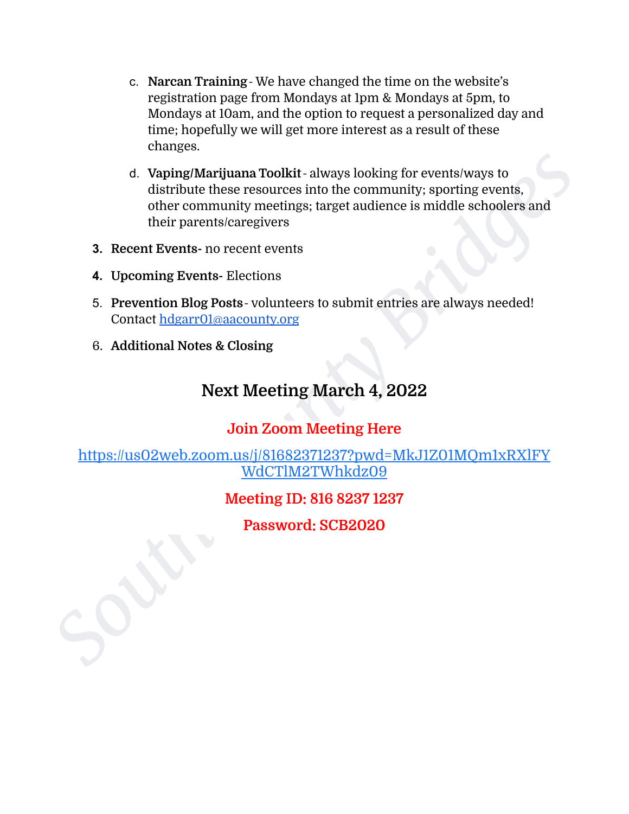- c. **Narcan Training** We have changed the time on the website's registration page from Mondays at 1pm & Mondays at 5pm, to Mondays at 10am, and the option to request a personalized day and time; hopefully we will get more interest as a result of these changes.
- d. Vaping/Marijuana Toolkit always looking for events/ways to<br>distribute these resources into the community, sporting events,<br>other community mectings; target audience is middle schoolers and<br>their parents/caregivers<br>**3.** d. **Vaping/Marijuana Toolkit**- always looking for events/ways to distribute these resources into the community; sporting events, other community meetings; target audience is middle schoolers and their parents/caregivers
	- **3. Recent Events-** no recent events
	- **4. Upcoming Events-** Elections
	- 5. **Prevention Blog Posts** volunteers to submit entries are always needed! Contact [hdgarr01@aacounty.org](mailto:hdgarr01@aacounty.org)
	- 6. **Additional Notes & Closing**

# **Next Meeting March 4, 2022**

### **Join Zoom Meeting Here**

[https://us02web.zoom.us/j/81682371237?pwd=MkJ1Z01MQm1xRXlFY](https://us02web.zoom.us/j/81682371237?pwd=MkJ1Z01MQm1xRXlFYWdCTlM2TWhkdz09) WdCTlM2TWhkdz09

### **Meeting ID: 816 8237 1237**

**Password: SCB2020**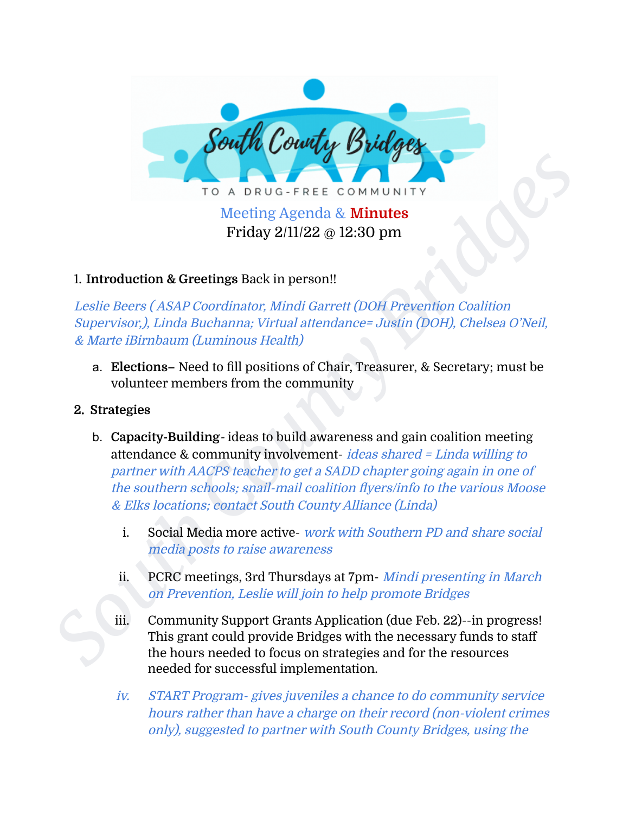

# Friday 2/11/22 @ 12:30 pm

### 1. **Introduction & Greetings** Back in person!!

Leslie Beers ( ASAP Coordinator, Mindi Garrett (DOH Prevention Coalition Supervisor,), Linda Buchanna; Virtual attendance= Justin (DOH), Chelsea O'Neil, & Marte iBirnbaum (Luminous Health)

a. **Elections–** Need to fill positions of Chair, Treasurer, & Secretary; must be volunteer members from the community

#### **2. Strategies**

- **FO** A DRUG-FREE COMMUNITY<br>
TO A DRUG-FREE COMMUNITY<br>
Meeting Agenda & Minutes<br>
Friday 2/11/22 @ 12:30 pm<br>
1. Introduction & Greetings Back in person!<br>
Leslie Beers (ASAP Coordinator: Mindi Garret (DOH Prevention Coalition b. **Capacity-Building**- ideas to build awareness and gain coalition meeting attendance & community involvement- *ideas shared = Linda willing to* partner with AACPS teacher to get <sup>a</sup> SADD chapter going again in one of the southern schools; snail-mail coalition flyers/info to the various Moose & Elks locations; contact South County Alliance (Linda)
	- i. Social Media more active- work with Southern PD and share social media posts to raise awareness
	- ii. PCRC meetings, 3rd Thursdays at 7pm- Mindi presenting in March on Prevention, Leslie will join to help promote Bridges
	- iii. Community Support Grants Application (due Feb. 22)--in progress! This grant could provide Bridges with the necessary funds to staff the hours needed to focus on strategies and for the resources needed for successful implementation.
	- iv. START Program- gives juveniles <sup>a</sup> chance to do community service hours rather than have <sup>a</sup> charge on their record (non-violent crimes only), suggested to partner with South County Bridges, using the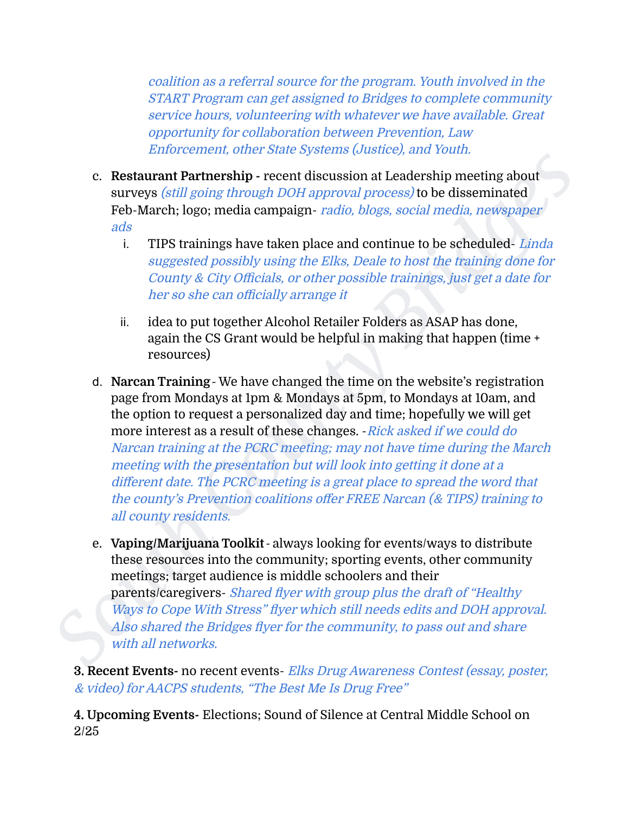coalition as <sup>a</sup> referral source for the program. Youth involved in the START Program can get assigned to Bridges to complete community service hours, volunteering with whatever we have available. Great opportunity for collaboration between Prevention, Law Enforcement, other State Systems (Justice), and Youth.

- c. **Restaurant Partnership -** recent discussion at Leadership meeting about surveys *(still going through DOH approval process)* to be disseminated Feb-March; logo; media campaign- radio, blogs, social media, newspaper ads
	- i. TIPS trainings have taken place and continue to be scheduled-Linda suggested possibly using the Elks, Deale to host the training done for County & City Officials, or other possible trainings, just get <sup>a</sup> date for her so she can officially arrange it
	- ii. idea to put together Alcohol Retailer Folders as ASAP has done, again the CS Grant would be helpful in making that happen (time + resources)
- **Example 12 County County County County County County County County County County County County County County County County County County County County County County County** d. **Narcan Training**- We have changed the time on the website's registration page from Mondays at 1pm & Mondays at 5pm, to Mondays at 10am, and the option to request a personalized day and time; hopefully we will get more interest as a result of these changes. - Rick asked if we could do Narcan training at the PCRC meeting; may not have time during the March meeting with the presentation but will look into getting it done at <sup>a</sup> different date. The PCRC meeting is <sup>a</sup> great place to spread the word that the county's Prevention coalitions offer FREE Narcan (& TIPS) training to all county residents.
	- e. **Vaping/Marijuana Toolkit** always looking for events/ways to distribute these resources into the community; sporting events, other community meetings; target audience is middle schoolers and their parents/caregivers- Shared flyer with group plus the draft of "Healthy Ways to Cope With Stress" flyer which still needs edits and DOH approval. Also shared the Bridges flyer for the community, to pass out and share with all networks.

**3. Recent Events-** no recent events- Elks Drug Awareness Contest (essay, poster, & video) for AACPS students, "The Best Me Is Drug Free"

**4. Upcoming Events-** Elections; Sound of Silence at Central Middle School on 2/25